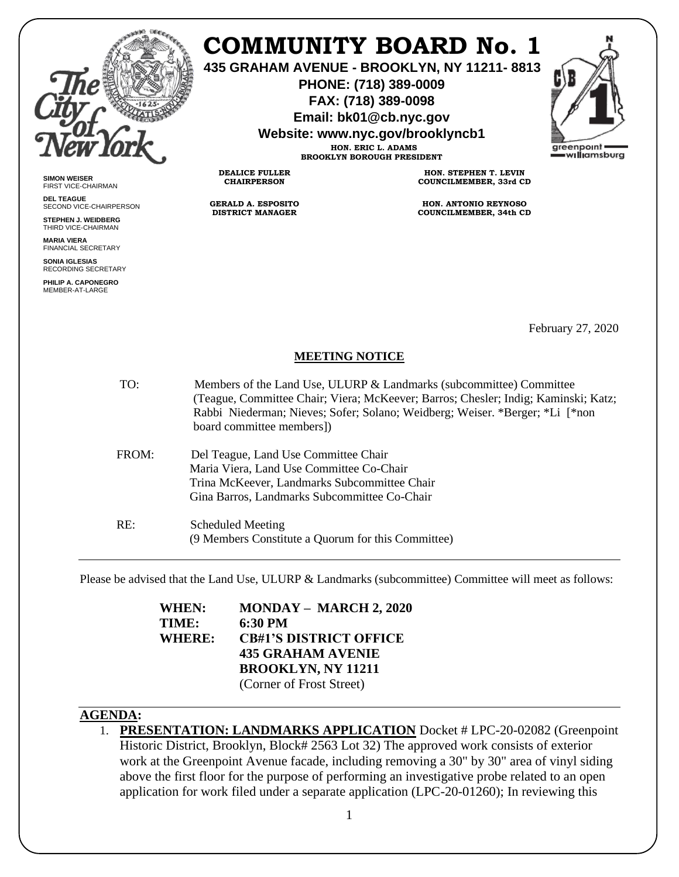

## **COMMUNITY BOARD No. 1**

**435 GRAHAM AVENUE - BROOKLYN, NY 11211- 8813**

**PHONE: (718) 389-0009 FAX: (718) 389-0098**

**Email: bk01@cb.nyc.gov**

**Website: www.nyc.gov/brooklyncb1 HON. ERIC L. ADAMS**

**BROOKLYN BOROUGH PRESIDENT**



**SIMON WEISER** FIRST VICE-CHAIRMAN

**DEL TEAGUE** SECOND VICE-CHAIRPERSON

**STEPHEN J. WEIDBERG** THIRD VICE-CHAIRMAN

**MARIA VIERA** FINANCIAL SECRETARY

**SONIA IGLESIAS** RECORDING SECRETARY

**PHILIP A. CAPONEGRO** MEMBER-AT-LARGE

**CHAIRPERSON**

**GERALD A. ESPOSITO DISTRICT MANAGER**

**DEALICE FULLER**

**HON. STEPHEN T. LEVIN COUNCILMEMBER, 33rd CD**

**HON. ANTONIO REYNOSO COUNCILMEMBER, 34th CD**

February 27, 2020

## **MEETING NOTICE**

| TO:   | Members of the Land Use, ULURP & Landmarks (subcommittee) Committee<br>(Teague, Committee Chair; Viera; McKeever; Barros; Chesler; Indig; Kaminski; Katz;<br>Rabbi Niederman; Nieves; Sofer; Solano; Weidberg; Weiser. *Berger; *Li [*non]<br>board committee members]) |
|-------|-------------------------------------------------------------------------------------------------------------------------------------------------------------------------------------------------------------------------------------------------------------------------|
| FROM: | Del Teague, Land Use Committee Chair<br>Maria Viera, Land Use Committee Co-Chair<br>Trina McKeever, Landmarks Subcommittee Chair<br>Gina Barros, Landmarks Subcommittee Co-Chair                                                                                        |
| RE:   | Scheduled Meeting<br>(9 Members Constitute a Quorum for this Committee)                                                                                                                                                                                                 |

Please be advised that the Land Use, ULURP & Landmarks (subcommittee) Committee will meet as follows:

| WHEN:  | <b>MONDAY - MARCH 2, 2020</b> |
|--------|-------------------------------|
| TIME:  | 6:30 PM                       |
| WHERE: | <b>CB#1'S DISTRICT OFFICE</b> |
|        | <b>435 GRAHAM AVENIE</b>      |
|        | <b>BROOKLYN, NY 11211</b>     |
|        | (Corner of Frost Street)      |

## **AGENDA:**

1. **PRESENTATION: LANDMARKS APPLICATION** Docket # LPC-20-02082 (Greenpoint Historic District, Brooklyn, Block# 2563 Lot 32) The approved work consists of exterior work at the Greenpoint Avenue facade, including removing a 30" by 30" area of vinyl siding above the first floor for the purpose of performing an investigative probe related to an open application for work filed under a separate application (LPC-20-01260); In reviewing this